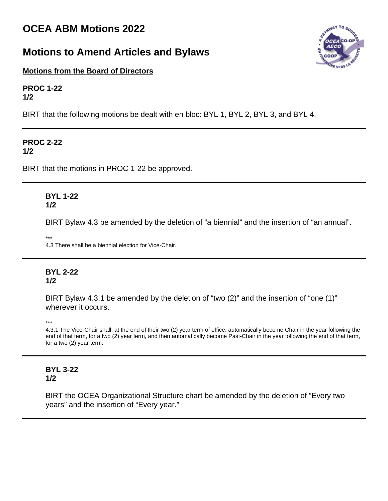# **OCEA ABM Motions 2022**

# **Motions to Amend Articles and Bylaws**



**Motions from the Board of Directors**

**PROC 1-22 1/2**

BIRT that the following motions be dealt with en bloc: BYL 1, BYL 2, BYL 3, and BYL 4.

#### **PROC 2-22 1/2**

BIRT that the motions in PROC 1-22 be approved.

# **BYL 1-22 1/2**

BIRT Bylaw 4.3 be amended by the deletion of "a biennial" and the insertion of "an annual".

\*\*\*

4.3 There shall be a biennial election for Vice-Chair.

# **BYL 2-22 1/2**

BIRT Bylaw 4.3.1 be amended by the deletion of "two (2)" and the insertion of "one (1)" wherever it occurs.

\*\*\*

4.3.1 The Vice-Chair shall, at the end of their two (2) year term of office, automatically become Chair in the year following the end of that term, for a two (2) year term, and then automatically become Past-Chair in the year following the end of that term, for a two (2) year term.

# **BYL 3-22 1/2**

BIRT the OCEA Organizational Structure chart be amended by the deletion of "Every two years" and the insertion of "Every year."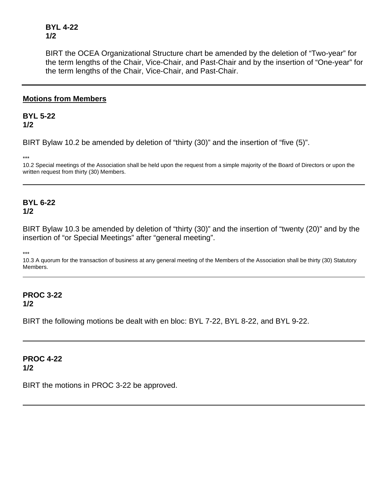**BYL 4-22 1/2**

BIRT the OCEA Organizational Structure chart be amended by the deletion of "Two-year" for the term lengths of the Chair, Vice-Chair, and Past-Chair and by the insertion of "One-year" for the term lengths of the Chair, Vice-Chair, and Past-Chair.

### **Motions from Members**

### **BYL 5-22 1/2**

BIRT Bylaw 10.2 be amended by deletion of "thirty (30)" and the insertion of "five (5)".

\*\*\*

10.2 Special meetings of the Association shall be held upon the request from a simple majority of the Board of Directors or upon the written request from thirty (30) Members.

# **BYL 6-22 1/2**

BIRT Bylaw 10.3 be amended by deletion of "thirty (30)" and the insertion of "twenty (20)" and by the insertion of "or Special Meetings" after "general meeting".

\*\*\*

10.3 A quorum for the transaction of business at any general meeting of the Members of the Association shall be thirty (30) Statutory Members.

# **PROC 3-22**

**1/2**

BIRT the following motions be dealt with en bloc: BYL 7-22, BYL 8-22, and BYL 9-22.

#### **PROC 4-22 1/2**

BIRT the motions in PROC 3-22 be approved.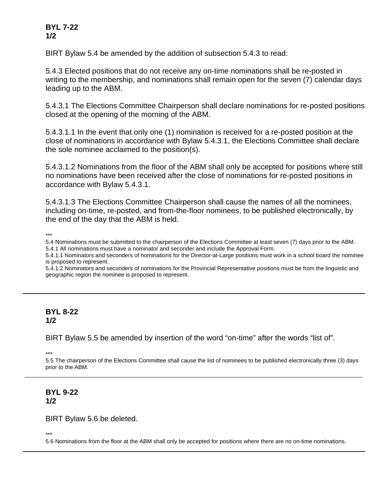# **BYL 7-22 1/2**

BIRT Bylaw 5.4 be amended by the addition of subsection 5.4.3 to read:

5.4.3 Elected positions that do not receive any on-time nominations shall be re-posted in writing to the membership, and nominations shall remain open for the seven (7) calendar days leading up to the ABM.

5.4.3.1 The Elections Committee Chairperson shall declare nominations for re-posted positions closed at the opening of the morning of the ABM.

5.4.3.1.1 In the event that only one (1) nomination is received for a re-posted position at the close of nominations in accordance with Bylaw 5.4.3.1, the Elections Committee shall declare the sole nominee acclaimed to the position(s).

5.4.3.1.2 Nominations from the floor of the ABM shall only be accepted for positions where still no nominations have been received after the close of nominations for re-posted positions in accordance with Bylaw 5.4.3.1.

5.4.3.1.3 The Elections Committee Chairperson shall cause the names of all the nominees, including on-time, re-posted, and from-the-floor nominees, to be published electronically, by the end of the day that the ABM is held.

\*\*\*

5.4 Nominations must be submitted to the chairperson of the Elections Committee at least seven (7) days prior to the ABM. 5.4.1 All nominations must have a nominator and seconder and include the Approval Form.

5.4.1.1 Nominators and seconders of nominations for the Director-at-Large positions must work in a school board the nominee is proposed to represent.

5.4.1.2 Nominators and seconders of nominations for the Provincial Representative positions must be from the linguistic and geographic region the nominee is proposed to represent.

#### **BYL 8-22 1/2**

BIRT Bylaw 5.5 be amended by insertion of the word "on-time" after the words "list of".

\*\*\*

5.5 The chairperson of the Elections Committee shall cause the list of nominees to be published electronically three (3) days prior to the ABM.

# **BYL 9-22 1/2**

#### BIRT Bylaw 5.6 be deleted.

\*\*\*

5.6 Nominations from the floor at the ABM shall only be accepted for positions where there are no on-time nominations.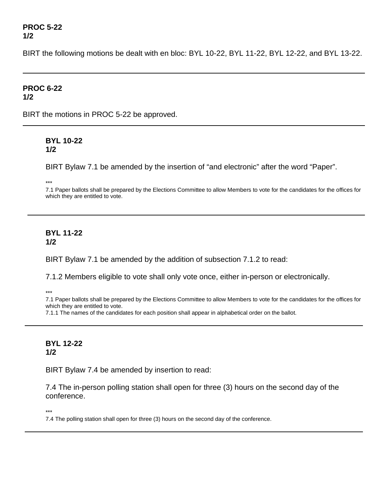#### **PROC 5-22 1/2**

BIRT the following motions be dealt with en bloc: BYL 10-22, BYL 11-22, BYL 12-22, and BYL 13-22.

#### **PROC 6-22 1/2**

BIRT the motions in PROC 5-22 be approved.

# **BYL 10-22 1/2**

BIRT Bylaw 7.1 be amended by the insertion of "and electronic" after the word "Paper".

\*\*\*

7.1 Paper ballots shall be prepared by the Elections Committee to allow Members to vote for the candidates for the offices for which they are entitled to vote.

## **BYL 11-22 1/2**

BIRT Bylaw 7.1 be amended by the addition of subsection 7.1.2 to read:

7.1.2 Members eligible to vote shall only vote once, either in-person or electronically.

\*\*\*

7.1 Paper ballots shall be prepared by the Elections Committee to allow Members to vote for the candidates for the offices for which they are entitled to vote.

7.1.1 The names of the candidates for each position shall appear in alphabetical order on the ballot.

# **BYL 12-22 1/2**

BIRT Bylaw 7.4 be amended by insertion to read:

7.4 The in-person polling station shall open for three (3) hours on the second day of the conference.

\*\*\*

7.4 The polling station shall open for three (3) hours on the second day of the conference.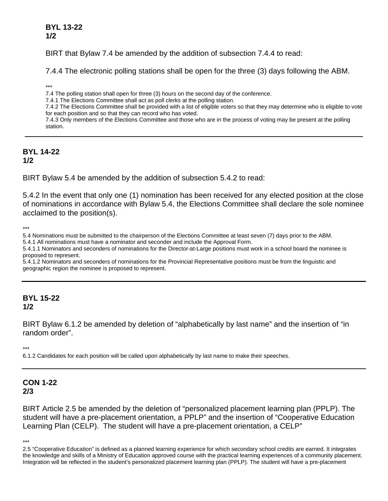# **BYL 13-22 1/2**

BIRT that Bylaw 7.4 be amended by the addition of subsection 7.4.4 to read:

7.4.4 The electronic polling stations shall be open for the three (3) days following the ABM.

\*\*\*

7.4 The polling station shall open for three (3) hours on the second day of the conference.

7.4.1 The Elections Committee shall act as poll clerks at the polling station.

7.4.2 The Elections Committee shall be provided with a list of eligible voters so that they may determine who is eligible to vote for each position and so that they can record who has voted.

7.4.3 Only members of the Elections Committee and those who are in the process of voting may be present at the polling station.

#### **BYL 14-22 1/2**

BIRT Bylaw 5.4 be amended by the addition of subsection 5.4.2 to read:

5.4.2 In the event that only one (1) nomination has been received for any elected position at the close of nominations in accordance with Bylaw 5.4, the Elections Committee shall declare the sole nominee acclaimed to the position(s).

\*\*\*

5.4 Nominations must be submitted to the chairperson of the Elections Committee at least seven (7) days prior to the ABM.

5.4.1 All nominations must have a nominator and seconder and include the Approval Form.

5.4.1.1 Nominators and seconders of nominations for the Director-at-Large positions must work in a school board the nominee is proposed to represent.

5.4.1.2 Nominators and seconders of nominations for the Provincial Representative positions must be from the linguistic and geographic region the nominee is proposed to represent.

### **BYL 15-22 1/2**

BIRT Bylaw 6.1.2 be amended by deletion of "alphabetically by last name" and the insertion of "in random order".

\*\*\*

6.1.2 Candidates for each position will be called upon alphabetically by last name to make their speeches.

# **CON 1-22 2/3**

BIRT Article 2.5 be amended by the deletion of "personalized placement learning plan (PPLP). The student will have a pre-placement orientation, a PPLP" and the insertion of "Cooperative Education Learning Plan (CELP). The student will have a pre-placement orientation, a CELP"

\*\*\*

<sup>2.5 &</sup>quot;Cooperative Education" is defined as a planned learning experience for which secondary school credits are earned. It integrates the knowledge and skills of a Ministry of Education approved course with the practical learning experiences of a community placement. Integration will be reflected in the student's personalized placement learning plan (PPLP). The student will have a pre-placement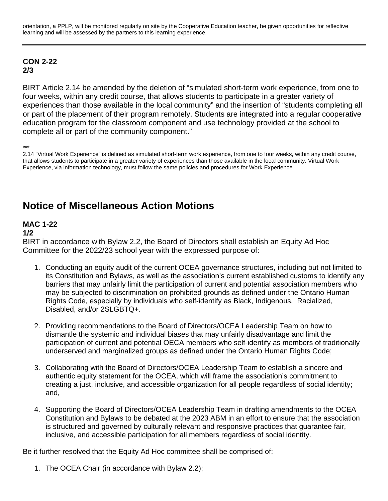orientation, a PPLP, will be monitored regularly on site by the Cooperative Education teacher, be given opportunities for reflective learning and will be assessed by the partners to this learning experience.

#### **CON 2-22 2/3**

BIRT Article 2.14 be amended by the deletion of "simulated short-term work experience, from one to four weeks, within any credit course, that allows students to participate in a greater variety of experiences than those available in the local community" and the insertion of "students completing all or part of the placement of their program remotely. Students are integrated into a regular cooperative education program for the classroom component and use technology provided at the school to complete all or part of the community component."

\*\*\*

2.14 "Virtual Work Experience" is defined as simulated short-term work experience, from one to four weeks, within any credit course, that allows students to participate in a greater variety of experiences than those available in the local community. Virtual Work Experience, via information technology, must follow the same policies and procedures for Work Experience

# **Notice of Miscellaneous Action Motions**

# **MAC 1-22**

### **1/2**

BIRT in accordance with Bylaw 2.2, the Board of Directors shall establish an Equity Ad Hoc Committee for the 2022/23 school year with the expressed purpose of:

- 1. Conducting an equity audit of the current OCEA governance structures, including but not limited to its Constitution and Bylaws, as well as the association's current established customs to identify any barriers that may unfairly limit the participation of current and potential association members who may be subjected to discrimination on prohibited grounds as defined under the Ontario Human Rights Code, especially by individuals who self-identify as Black, Indigenous, Racialized, Disabled, and/or 2SLGBTQ+.
- 2. Providing recommendations to the Board of Directors/OCEA Leadership Team on how to dismantle the systemic and individual biases that may unfairly disadvantage and limit the participation of current and potential OECA members who self-identify as members of traditionally underserved and marginalized groups as defined under the Ontario Human Rights Code;
- 3. Collaborating with the Board of Directors/OCEA Leadership Team to establish a sincere and authentic equity statement for the OCEA, which will frame the association's commitment to creating a just, inclusive, and accessible organization for all people regardless of social identity; and,
- 4. Supporting the Board of Directors/OCEA Leadership Team in drafting amendments to the OCEA Constitution and Bylaws to be debated at the 2023 ABM in an effort to ensure that the association is structured and governed by culturally relevant and responsive practices that guarantee fair, inclusive, and accessible participation for all members regardless of social identity.

Be it further resolved that the Equity Ad Hoc committee shall be comprised of:

1. The OCEA Chair (in accordance with Bylaw 2.2);